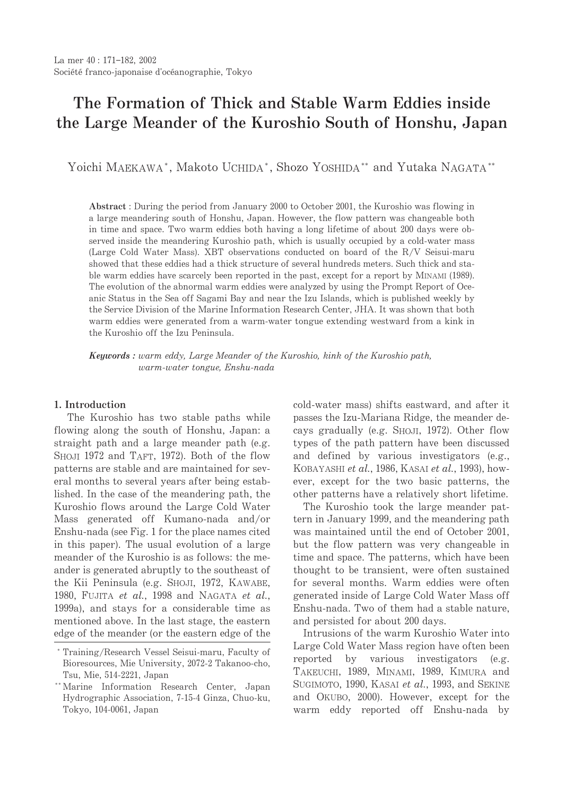# The Formation of Thick and Stable Warm Eddies inside the Large Meander of the Kuroshio South of Honshu, Japan

Yoichi MAEKAWA\*, Makoto UCHIDA\*, Shozo YOSHIDA\*\* and Yutaka NAGATA\*\*

Abstract: During the period from January 2000 to October 2001, the Kuroshio was flowing in a large meandering south of Honshu, Japan. However, the flow pattern was changeable both in time and space. Two warm eddies both having a long lifetime of about 200 days were observed inside the meandering Kuroshio path, which is usually occupied by a cold-water mass (Large Cold Water Mass). XBT observations conducted on board of the R/V Seisui-maru showed that these eddies had a thick structure of several hundreds meters. Such thick and stable warm eddies have scarcely been reported in the past, except for a report by M<sub>INAMI</sub> (1989). The evolution of the abnormal warm eddies were analyzed by using the Prompt Report of Oceanic Status in the Sea off Sagami Bay and near the Izu Islands, which is published weekly by the Service Division of the Marine Information Research Center, JHA. It was shown that both warm eddies were generated from a warm-water tongue extending westward from a kink in the Kuroshio off the Izu Peninsula.

**Keywords**: warm eddy, Large Meander of the Kuroshio, kink of the Kuroshio path, warm-water tongue, Enshu-nada

#### 1. Introduction

The Kuroshio has two stable paths while flowing along the south of Honshu, Japan: a straight path and a large meander path (e.g. SHOJI 1972 and TAFT, 1972). Both of the flow patterns are stable and are maintained for several months to several years after being established. In the case of the meandering path, the Kuroshio flows around the Large Cold Water Mass generated off Kumano-nada and/or Enshu-nada (see Fig. 1 for the place names cited in this paper). The usual evolution of a large meander of the Kuroshio is as follows: the meander is generated abruptly to the southeast of the Kii Peninsula (e.g. SHOJI, 1972, KAWABE, 1980, FUJITA et al., 1998 and NAGATA et al., 1999a), and stays for a considerable time as mentioned above. In the last stage, the eastern edge of the meander (or the eastern edge of the cold-water mass) shifts eastward, and after it passes the Izu-Mariana Ridge, the meander decays gradually (e.g. SHOJI, 1972). Other flow types of the path pattern have been discussed and defined by various investigators (e.g., KOBAYASHI et al., 1986, KASAI et al., 1993), however, except for the two basic patterns, the other patterns have a relatively short lifetime.

The Kuroshio took the large meander pattern in January 1999, and the meandering path was maintained until the end of October 2001, but the flow pattern was very changeable in time and space. The patterns, which have been thought to be transient, were often sustained for several months. Warm eddies were often generated inside of Large Cold Water Mass off Enshu-nada. Two of them had a stable nature. and persisted for about 200 days.

Intrusions of the warm Kuroshio Water into Large Cold Water Mass region have often been reported by various investigators (e.g. TAKEUCHI, 1989, MINAMI, 1989, KIMURA and SUGIMOTO, 1990, KASAI et al., 1993, and SEKINE and OKUBO, 2000). However, except for the warm eddy reported off Enshu-nada by

<sup>\*</sup> Training/Research Vessel Seisui-maru, Faculty of Bioresources, Mie University, 2072-2 Takanoo-cho, Tsu, Mie, 514-2221, Japan

<sup>\*\*</sup> Marine Information Research Center, Japan Hydrographic Association, 7-15-4 Ginza, Chuo-ku, Tokyo, 104-0061, Japan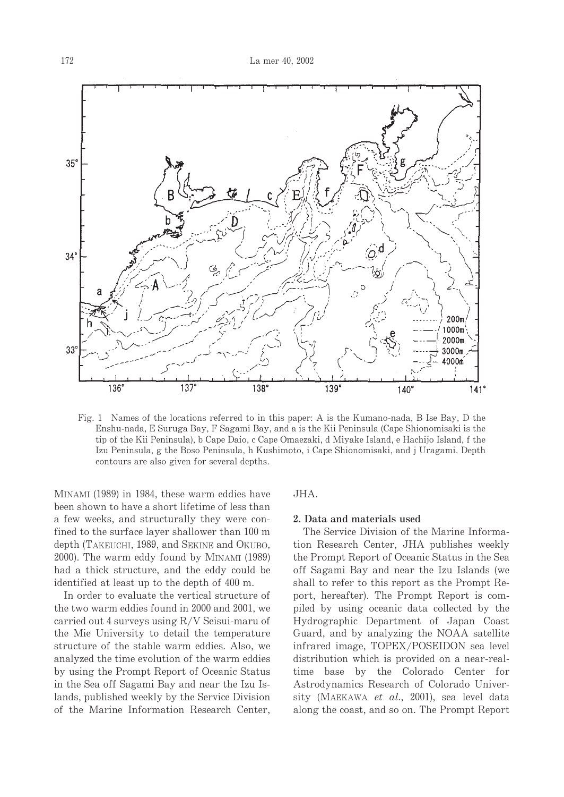

Fig. 1 Names of the locations referred to in this paper: A is the Kumano-nada, B Ise Bay, D the Enshu-nada, E Suruga Bay, F Sagami Bay, and a is the Kii Peninsula (Cape Shionomisaki is the tip of the Kii Peninsula), b Cape Daio, c Cape Omaezaki, d Miyake Island, e Hachijo Island, f the Izu Peninsula, g the Boso Peninsula, h Kushimoto, i Cape Shionomisaki, and i Uragami. Depth contours are also given for several depths.

MINAMI (1989) in 1984, these warm eddies have been shown to have a short lifetime of less than a few weeks, and structurally they were confined to the surface layer shallower than 100 m depth (TAKEUCHI, 1989, and SEKINE and OKUBO, 2000). The warm eddy found by MINAMI (1989) had a thick structure, and the eddy could be identified at least up to the depth of 400 m.

In order to evaluate the vertical structure of the two warm eddies found in 2000 and 2001, we carried out 4 surveys using  $R/V$  Seisui-maru of the Mie University to detail the temperature structure of the stable warm eddies. Also, we analyzed the time evolution of the warm eddies by using the Prompt Report of Oceanic Status in the Sea off Sagami Bay and near the Izu Islands, published weekly by the Service Division of the Marine Information Research Center,

#### JHA.

#### 2. Data and materials used

The Service Division of the Marine Information Research Center, JHA publishes weekly the Prompt Report of Oceanic Status in the Sea off Sagami Bay and near the Izu Islands (we shall to refer to this report as the Prompt Report, hereafter). The Prompt Report is compiled by using oceanic data collected by the Hydrographic Department of Japan Coast Guard, and by analyzing the NOAA satellite infrared image, TOPEX/POSEIDON sea level distribution which is provided on a near-realtime base by the Colorado Center for Astrodynamics Research of Colorado University (MAEKAWA et al., 2001), sea level data along the coast, and so on. The Prompt Report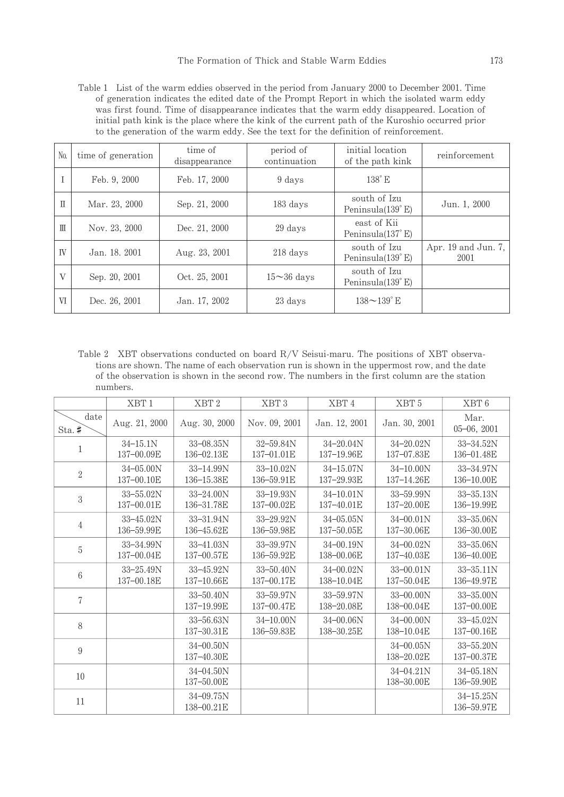Table 1 List of the warm eddies observed in the period from January 2000 to December 2001. Time of generation indicates the edited date of the Prompt Report in which the isolated warm eddy was first found. Time of disappearance indicates that the warm eddy disappeared. Location of initial path kink is the place where the kink of the current path of the Kuroshio occurred prior to the generation of the warm eddy. See the text for the definition of reinforcement.

| No.          | time of generation | time of<br>disappearance | period of<br>continuation | initial location<br>of the path kink | reinforcement                 |
|--------------|--------------------|--------------------------|---------------------------|--------------------------------------|-------------------------------|
|              | Feb. 9, 2000       | Feb. 17, 2000            | 9 days                    | $138^\circ$ E                        |                               |
| Π            | Mar. 23, 2000      | Sep. 21, 2000            | 183 days                  | south of Izu<br>Peninsula $(139°E)$  | Jun. 1, 2000                  |
| $\mathbb{H}$ | Nov. 23, 2000      | Dec. 21, 2000            | 29 days                   | east of Kii<br>Peninsula $(137° E)$  |                               |
| IV           | Jan. 18, 2001      | Aug. 23, 2001            | $218$ days                | south of Izu<br>Peninsula $(139°E)$  | Apr. $19$ and Jun. 7,<br>2001 |
| V            | Sep. 20, 2001      | Oct. 25, 2001            | $15 \sim 36$ days         | south of Izu<br>Peninsula $(139°E)$  |                               |
| VI           | Dec. 26, 2001      | Jan. 17, 2002            | 23 days                   | $138 - 139$ E                        |                               |

Table 2 XBT observations conducted on board R/V Seisui-maru. The positions of XBT observations are shown. The name of each observation run is shown in the uppermost row, and the date of the observation is shown in the second row. The numbers in the first column are the station numbers.

|                  | XBT <sub>1</sub>            | XBT <sub>2</sub>            | XBT3                        | XBT4                        | XBT <sub>5</sub>            | XBT6                        |
|------------------|-----------------------------|-----------------------------|-----------------------------|-----------------------------|-----------------------------|-----------------------------|
| date<br>$Sta.$ # | Aug. 21, 2000               | Aug. 30, 2000               | Nov. 09, 2001               | Jan. 12, 2001               | Jan. 30, 2001               | Mar.<br>$05 - 06, 2001$     |
| 1                | $34 - 15.1N$<br>137-00.09E  | $33 - 08.35N$<br>136-02.13E | 32-59.84N<br>137-01.01E     | 34-20.04N<br>137-19.96E     | $34 - 20.02N$<br>137-07.83E | $33 - 34.52N$<br>136-01.48E |
| $\overline{2}$   | $34 - 05.00N$<br>137-00.10E | $33 - 14.99N$<br>136-15.38E | $33 - 10.02N$<br>136-59.91E | $34 - 15.07N$<br>137-29.93E | $34 - 10.00N$<br>137-14.26E | 33-34.97N<br>136-10.00E     |
| 3                | $33 - 55.02N$<br>137-00.01E | $33 - 24.00N$<br>136-31.78E | $33 - 19.93N$<br>137-00.02E | $34 - 10.01N$<br>137-40.01E | $33 - 59.99N$<br>137-20.00E | 33-35.13N<br>136-19.99E     |
| $\overline{4}$   | $33 - 45.02N$<br>136-59.99E | 33-31.94N<br>136-45.62E     | $33 - 29.92N$<br>136-59.98E | $34 - 05.05N$<br>137-50.05E | $34 - 00.01N$<br>137-30.06E | $33 - 35.06N$<br>136-30.00E |
| 5                | 33-34.99N<br>137-00.04E     | $33 - 41.03N$<br>137-00.57E | 33-39.97N<br>136-59.92E     | $34 - 00.19N$<br>138-00.06E | $34 - 00.02N$<br>137-40.03E | $33 - 35.06N$<br>136-40.00E |
| 6                | $33 - 25.49N$<br>137-00.18E | $33 - 45.92N$<br>137-10.66E | $33 - 50.40N$<br>137-00.17E | $34 - 00.02N$<br>138-10.04E | $33 - 00.01N$<br>137-50.04E | $33 - 35.11N$<br>136-49.97E |
| 7                |                             | $33 - 50.40N$<br>137-19.99E | $33 - 59.97N$<br>137-00.47E | $33 - 59.97N$<br>138-20.08E | $33 - 00.00N$<br>138-00.04E | 33-35.00N<br>137-00.00E     |
| 8                |                             | $33 - 56.63N$<br>137-30.31E | $34 - 10.00N$<br>136-59.83E | $34 - 00.06N$<br>138-30.25E | $34 - 00.00N$<br>138-10.04E | $33 - 45.02N$<br>137-00.16E |
| 9                |                             | $34 - 00.50N$<br>137-40.30E |                             |                             | $34 - 00.05N$<br>138-20.02E | $33 - 55.20N$<br>137-00.37E |
| 10               |                             | $34 - 04.50N$<br>137-50.00E |                             |                             | 34-04.21N<br>138-30.00E     | $34 - 05.18N$<br>136-59.90E |
| 11               |                             | $34 - 09.75N$<br>138-00.21E |                             |                             |                             | $34 - 15.25N$<br>136-59.97E |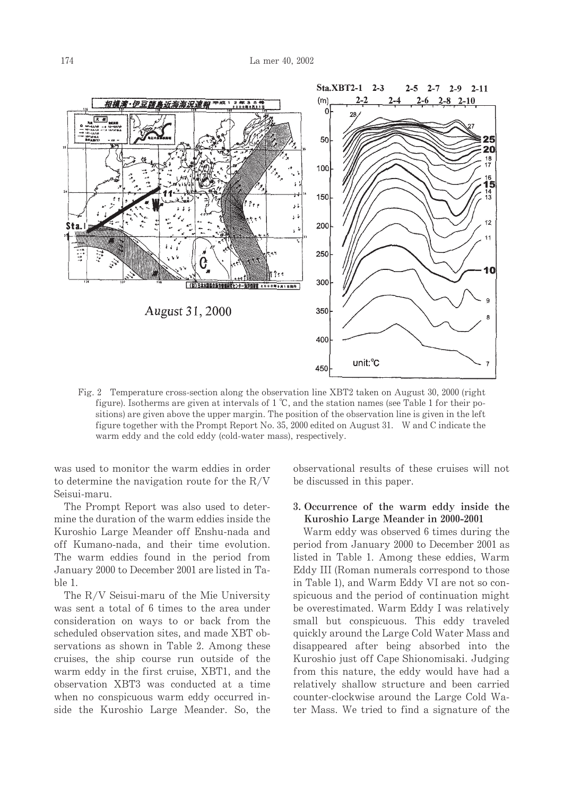

Fig. 2 Temperature cross-section along the observation line XBT2 taken on August 30, 2000 (right figure). Isotherms are given at intervals of  $1^{\circ}C$ , and the station names (see Table 1 for their positions) are given above the upper margin. The position of the observation line is given in the left figure together with the Prompt Report No. 35, 2000 edited on August 31. W and C indicate the warm eddy and the cold eddy (cold-water mass), respectively.

was used to monitor the warm eddies in order to determine the navigation route for the  $R/V$ Seisui-maru.

The Prompt Report was also used to determine the duration of the warm eddies inside the Kuroshio Large Meander off Enshu-nada and off Kumano-nada, and their time evolution. The warm eddies found in the period from January 2000 to December 2001 are listed in Table 1.

The R/V Seisui-maru of the Mie University was sent a total of 6 times to the area under consideration on ways to or back from the scheduled observation sites, and made XBT observations as shown in Table 2. Among these cruises, the ship course run outside of the warm eddy in the first cruise, XBT1, and the observation XBT3 was conducted at a time when no conspicuous warm eddy occurred inside the Kuroshio Large Meander. So, the observational results of these cruises will not be discussed in this paper.

# 3. Occurrence of the warm eddy inside the Kuroshio Large Meander in 2000-2001

Warm eddy was observed 6 times during the period from January 2000 to December 2001 as listed in Table 1. Among these eddies, Warm Eddy III (Roman numerals correspond to those in Table 1), and Warm Eddy VI are not so conspicuous and the period of continuation might be overestimated. Warm Eddy I was relatively small but conspicuous. This eddy traveled quickly around the Large Cold Water Mass and disappeared after being absorbed into the Kuroshio just off Cape Shionomisaki. Judging from this nature, the eddy would have had a relatively shallow structure and been carried counter-clockwise around the Large Cold Water Mass. We tried to find a signature of the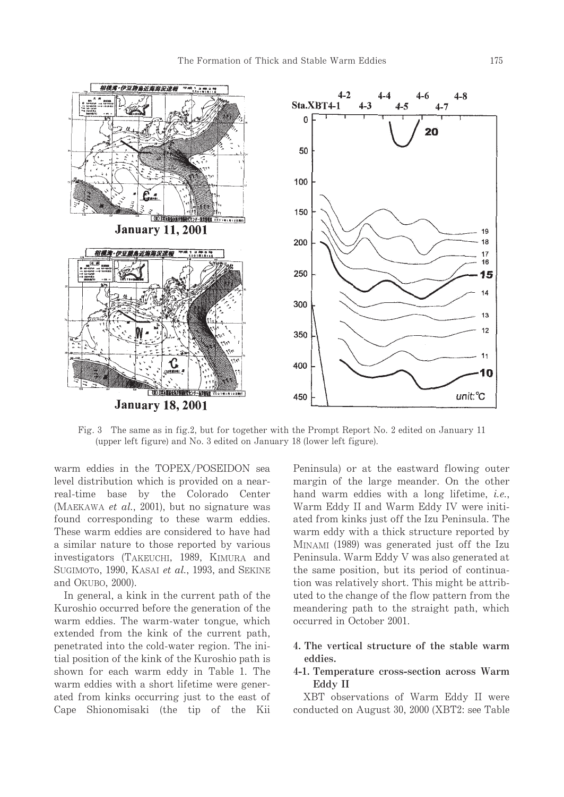

Fig. 3 The same as in fig.2, but for together with the Prompt Report No. 2 edited on January 11 (upper left figure) and No. 3 edited on January 18 (lower left figure).

warm eddies in the TOPEX/POSEIDON sea level distribution which is provided on a nearreal-time base by the Colorado Center (MAEKAWA et al., 2001), but no signature was found corresponding to these warm eddies. These warm eddies are considered to have had a similar nature to those reported by various investigators (TAKEUCHI, 1989, KIMURA and SUGIMOTO, 1990, KASAI et al., 1993, and SEKINE and OKUBO, 2000).

In general, a kink in the current path of the Kuroshio occurred before the generation of the warm eddies. The warm-water tongue, which extended from the kink of the current path, penetrated into the cold-water region. The initial position of the kink of the Kuroshio path is shown for each warm eddy in Table 1. The warm eddies with a short lifetime were generated from kinks occurring just to the east of Cape Shionomisaki (the tip of the Kii Peninsula) or at the eastward flowing outer margin of the large meander. On the other hand warm eddies with a long lifetime, *i.e.*, Warm Eddy II and Warm Eddy IV were initiated from kinks just off the Izu Peninsula. The warm eddy with a thick structure reported by MINAMI (1989) was generated just off the Izu Peninsula. Warm Eddy V was also generated at the same position, but its period of continuation was relatively short. This might be attributed to the change of the flow pattern from the meandering path to the straight path, which occurred in October 2001.

# 4. The vertical structure of the stable warm eddies.

## 4-1. Temperature cross-section across Warm Eddy II

XBT observations of Warm Eddy II were conducted on August 30, 2000 (XBT2: see Table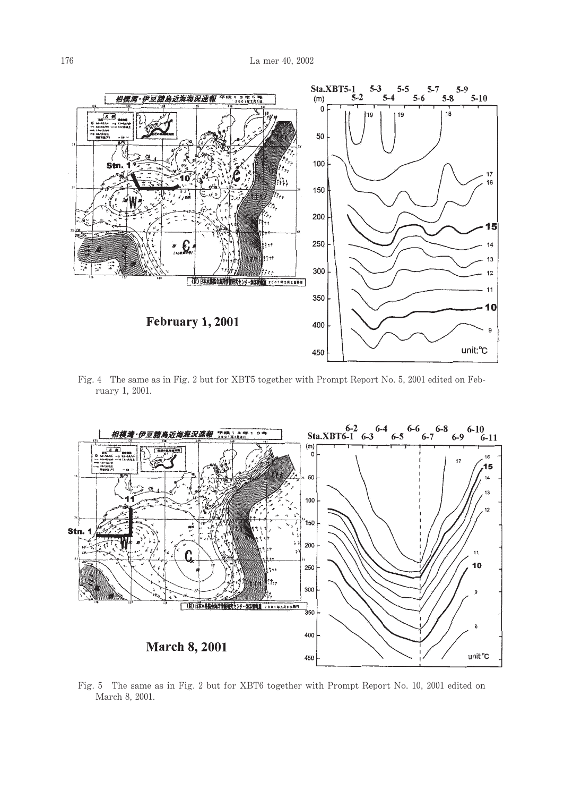

Fig. 4 The same as in Fig. 2 but for XBT5 together with Prompt Report No. 5, 2001 edited on February 1, 2001.



Fig. 5 The same as in Fig. 2 but for XBT6 together with Prompt Report No. 10, 2001 edited on March 8, 2001.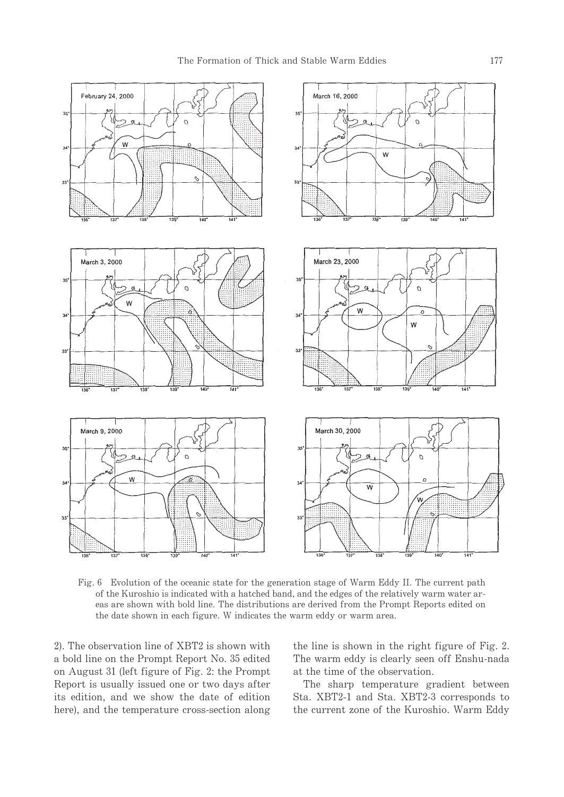

Fig. 6 Evolution of the oceanic state for the generation stage of Warm Eddy II. The current path of the Kuroshio is indicated with a hatched band, and the edges of the relatively warm water areas are shown with bold line. The distributions are derived from the Prompt Reports edited on the date shown in each figure. W indicates the warm eddy or warm area.

2). The observation line of XBT2 is shown with a bold line on the Prompt Report No. 35 edited on August 31 (left figure of Fig. 2: the Prompt Report is usually issued one or two days after its edition, and we show the date of edition here), and the temperature cross-section along the line is shown in the right figure of Fig. 2. The warm eddy is clearly seen off Enshu-nada at the time of the observation.

The sharp temperature gradient between Sta. XBT2-1 and Sta. XBT2-3 corresponds to the current zone of the Kuroshio. Warm Eddy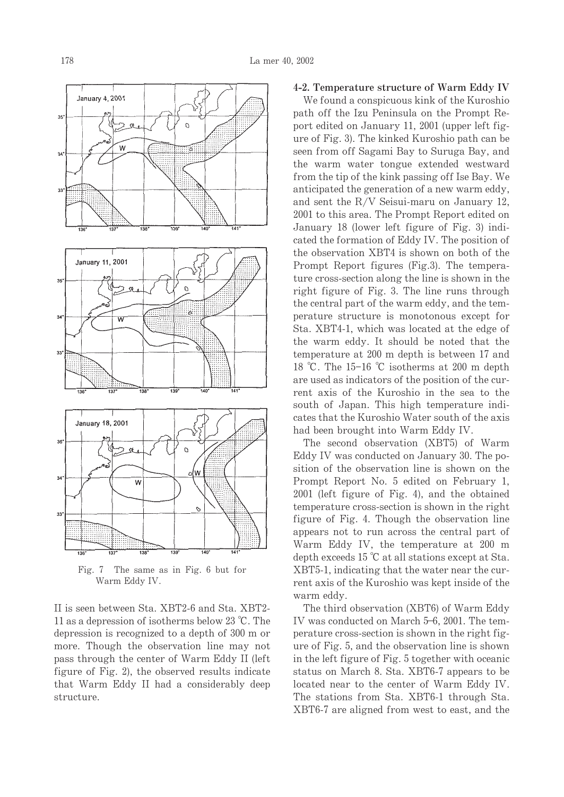

Fig. 7 The same as in Fig. 6 but for Warm Eddy IV.

II is seen between Sta. XBT2-6 and Sta. XBT2-11 as a depression of isotherms below 23  $^{\circ}$ C. The depression is recognized to a depth of 300 m or more. Though the observation line may not pass through the center of Warm Eddy II (left figure of Fig. 2), the observed results indicate that Warm Eddy II had a considerably deep structure.

#### 4-2. Temperature structure of Warm Eddy IV

We found a conspicuous kink of the Kuroshio path off the Izu Peninsula on the Prompt Report edited on January 11, 2001 (upper left figure of Fig. 3). The kinked Kuroshio path can be seen from off Sagami Bay to Suruga Bay, and the warm water tongue extended westward from the tip of the kink passing off Ise Bay. We anticipated the generation of a new warm eddy, and sent the  $R/V$  Seisui-maru on January 12, 2001 to this area. The Prompt Report edited on January 18 (lower left figure of Fig. 3) indicated the formation of Eddy IV. The position of the observation XBT4 is shown on both of the Prompt Report figures (Fig.3). The temperature cross-section along the line is shown in the right figure of Fig. 3. The line runs through the central part of the warm eddy, and the temperature structure is monotonous except for Sta. XBT4-1, which was located at the edge of the warm eddy. It should be noted that the temperature at 200 m depth is between 17 and 18 °C. The 15-16 °C isotherms at 200 m depth are used as indicators of the position of the current axis of the Kuroshio in the sea to the south of Japan. This high temperature indicates that the Kuroshio Water south of the axis had been brought into Warm Eddy IV.

The second observation (XBT5) of Warm Eddy IV was conducted on January 30. The position of the observation line is shown on the Prompt Report No. 5 edited on February 1, 2001 (left figure of Fig. 4), and the obtained temperature cross-section is shown in the right figure of Fig. 4. Though the observation line appears not to run across the central part of Warm Eddy IV, the temperature at 200 m depth exceeds  $15^{\circ}$ C at all stations except at Sta. XBT5-1, indicating that the water near the current axis of the Kuroshio was kept inside of the warm eddy.

The third observation (XBT6) of Warm Eddy IV was conducted on March 5-6, 2001. The temperature cross-section is shown in the right figure of Fig. 5, and the observation line is shown in the left figure of Fig. 5 together with oceanic status on March 8. Sta. XBT6-7 appears to be located near to the center of Warm Eddy IV. The stations from Sta. XBT6-1 through Sta. XBT6-7 are aligned from west to east, and the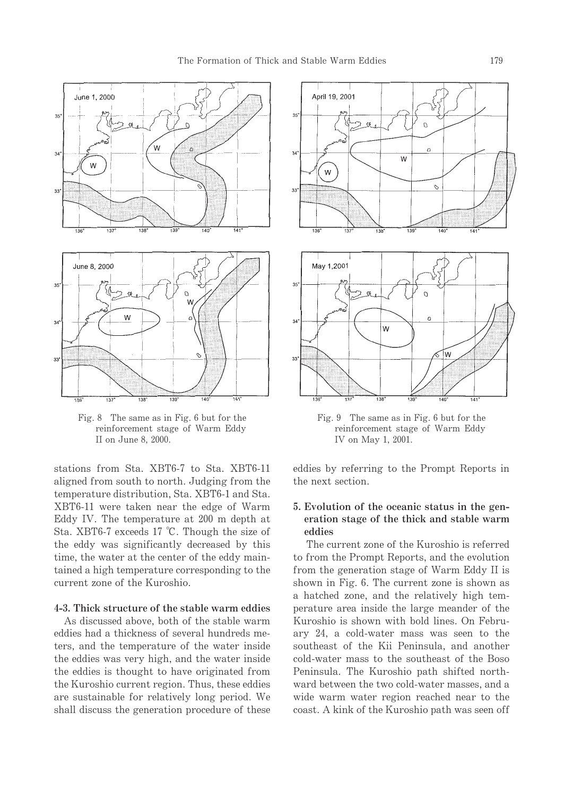

Fig. 8 The same as in Fig. 6 but for the reinforcement stage of Warm Eddy II on June 8, 2000.

stations from Sta. XBT6-7 to Sta. XBT6-11 aligned from south to north. Judging from the temperature distribution, Sta. XBT6-1 and Sta. XBT6-11 were taken near the edge of Warm Eddy IV. The temperature at 200 m depth at Sta. XBT6-7 exceeds 17 °C. Though the size of the eddy was significantly decreased by this time, the water at the center of the eddy maintained a high temperature corresponding to the current zone of the Kuroshio.

## 4-3. Thick structure of the stable warm eddies

As discussed above, both of the stable warm eddies had a thickness of several hundreds meters, and the temperature of the water inside the eddies was very high, and the water inside the eddies is thought to have originated from the Kuroshio current region. Thus, these eddies are sustainable for relatively long period. We shall discuss the generation procedure of these



Fig. 9 The same as in Fig. 6 but for the reinforcement stage of Warm Eddy IV on May 1, 2001.

eddies by referring to the Prompt Reports in the next section.

# 5. Evolution of the oceanic status in the generation stage of the thick and stable warm eddies

The current zone of the Kuroshio is referred to from the Prompt Reports, and the evolution from the generation stage of Warm Eddy II is shown in Fig. 6. The current zone is shown as a hatched zone, and the relatively high temperature area inside the large meander of the Kuroshio is shown with bold lines. On February 24, a cold-water mass was seen to the southeast of the Kii Peninsula, and another cold-water mass to the southeast of the Boso Peninsula. The Kuroshio path shifted northward between the two cold-water masses, and a wide warm water region reached near to the coast. A kink of the Kuroshio path was seen off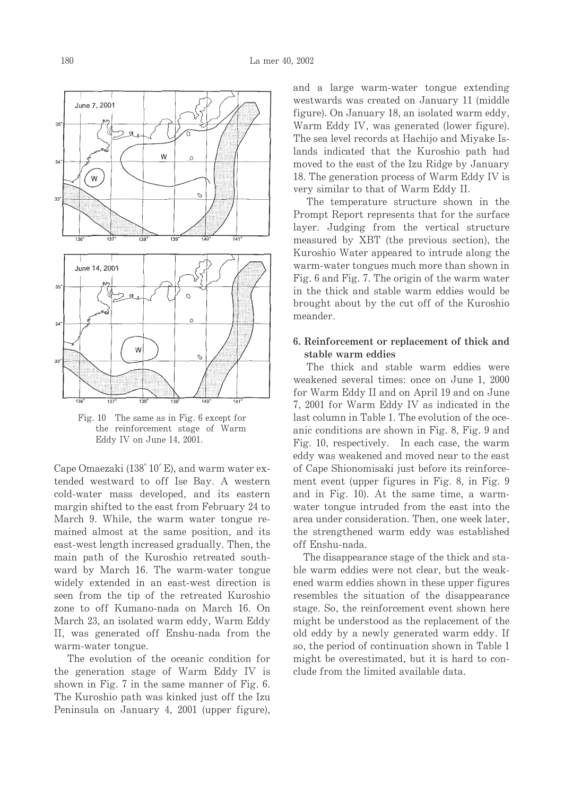

Fig. 10 The same as in Fig. 6 except for the reinforcement stage of Warm Eddy IV on June 14, 2001.

Cape Omaezaki (138° 10' E), and warm water extended westward to off Ise Bay. A western cold-water mass developed, and its eastern margin shifted to the east from February 24 to March 9. While, the warm water tongue remained almost at the same position, and its east-west length increased gradually. Then, the main path of the Kuroshio retreated southward by March 16. The warm-water tongue widely extended in an east-west direction is seen from the tip of the retreated Kuroshio zone to off Kumano-nada on March 16. On March 23, an isolated warm eddy, Warm Eddy II, was generated off Enshu-nada from the warm-water tongue.

The evolution of the oceanic condition for the generation stage of Warm Eddy IV is shown in Fig. 7 in the same manner of Fig. 6. The Kuroshio path was kinked just off the Izu Peninsula on January 4, 2001 (upper figure),

and a large warm-water tongue extending westwards was created on January 11 (middle figure). On January 18, an isolated warm eddy, Warm Eddy IV, was generated (lower figure). The sea level records at Hachijo and Miyake Islands indicated that the Kuroshio path had moved to the east of the Izu Ridge by January 18. The generation process of Warm Eddy IV is very similar to that of Warm Eddy II.

The temperature structure shown in the Prompt Report represents that for the surface layer. Judging from the vertical structure measured by XBT (the previous section), the Kuroshio Water appeared to intrude along the warm-water tongues much more than shown in Fig. 6 and Fig. 7. The origin of the warm water in the thick and stable warm eddies would be brought about by the cut off of the Kuroshio meander.

#### 6. Reinforcement or replacement of thick and stable warm eddies

The thick and stable warm eddies were weakened several times: once on June 1, 2000 for Warm Eddy II and on April 19 and on June 7, 2001 for Warm Eddy IV as indicated in the last column in Table 1. The evolution of the oceanic conditions are shown in Fig. 8, Fig. 9 and Fig. 10, respectively. In each case, the warm eddy was weakened and moved near to the east of Cape Shionomisaki just before its reinforcement event (upper figures in Fig. 8, in Fig. 9 and in Fig. 10). At the same time, a warmwater tongue intruded from the east into the area under consideration. Then, one week later, the strengthened warm eddy was established off Enshu-nada.

The disappearance stage of the thick and stable warm eddies were not clear, but the weakened warm eddies shown in these upper figures resembles the situation of the disappearance stage. So, the reinforcement event shown here might be understood as the replacement of the old eddy by a newly generated warm eddy. If so, the period of continuation shown in Table 1 might be overestimated, but it is hard to conclude from the limited available data.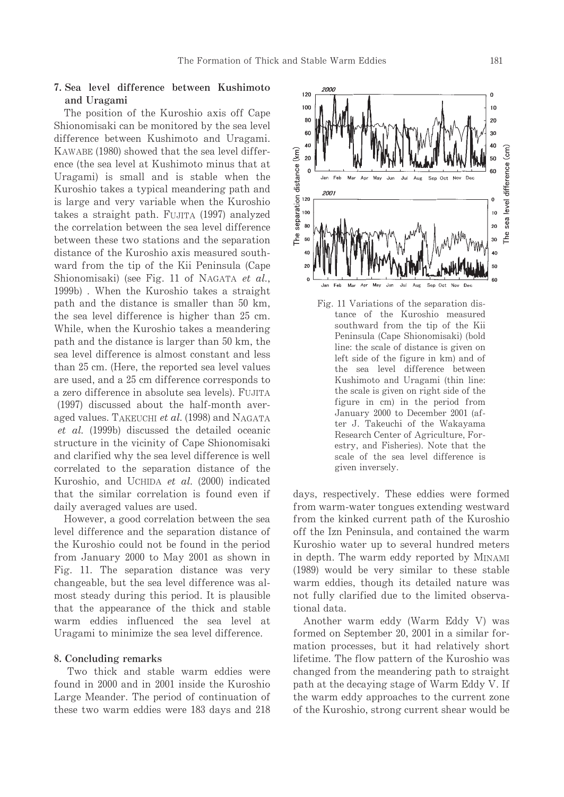## 7. Sea level difference between Kushimoto and Uragami

The position of the Kuroshio axis off Cape Shionomisaki can be monitored by the sea level difference between Kushimoto and Uragami. KAWABE (1980) showed that the sea level difference (the sea level at Kushimoto minus that at Uragami) is small and is stable when the Kuroshio takes a typical meandering path and is large and very variable when the Kuroshio takes a straight path. FUJITA (1997) analyzed the correlation between the sea level difference between these two stations and the separation distance of the Kuroshio axis measured southward from the tip of the Kii Peninsula (Cape Shionomisaki) (see Fig. 11 of NAGATA et al., 1999b). When the Kuroshio takes a straight path and the distance is smaller than 50 km. the sea level difference is higher than 25 cm. While, when the Kuroshio takes a meandering path and the distance is larger than 50 km, the sea level difference is almost constant and less than 25 cm. (Here, the reported sea level values are used, and a 25 cm difference corresponds to a zero difference in absolute sea levels). FUJITA (1997) discussed about the half-month averaged values. TAKEUCHI et al. (1998) and NAGATA *et al.* (1999b) discussed the detailed oceanic structure in the vicinity of Cape Shionomisaki and clarified why the sea level difference is well correlated to the separation distance of the Kuroshio, and UCHIDA et al. (2000) indicated that the similar correlation is found even if daily averaged values are used.

However, a good correlation between the sea level difference and the separation distance of the Kuroshio could not be found in the period from January 2000 to May 2001 as shown in Fig. 11. The separation distance was very changeable, but the sea level difference was almost steady during this period. It is plausible that the appearance of the thick and stable warm eddies influenced the sea level at Uragami to minimize the sea level difference.

#### 8. Concluding remarks

Two thick and stable warm eddies were found in 2000 and in 2001 inside the Kuroshio Large Meander. The period of continuation of these two warm eddies were 183 days and 218



days, respectively. These eddies were formed from warm-water tongues extending westward from the kinked current path of the Kuroshio off the Izn Peninsula, and contained the warm Kuroshio water up to several hundred meters in depth. The warm eddy reported by MINAMI (1989) would be very similar to these stable warm eddies, though its detailed nature was not fully clarified due to the limited observational data.

Another warm eddy (Warm Eddy V) was formed on September 20, 2001 in a similar formation processes, but it had relatively short lifetime. The flow pattern of the Kuroshio was changed from the meandering path to straight path at the decaying stage of Warm Eddy V. If the warm eddy approaches to the current zone of the Kuroshio, strong current shear would be